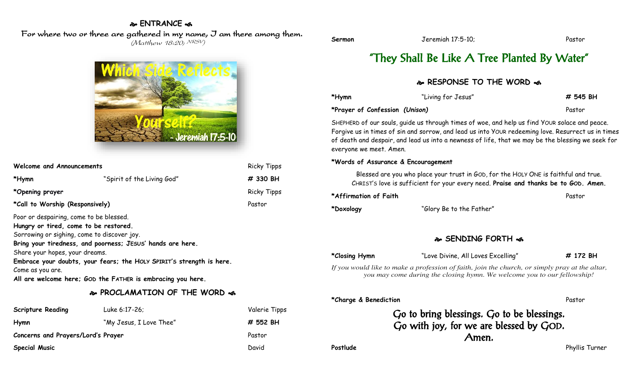#### **ENTRANCE**

### For where two or three are gathered in my name, I am there among them.

(Matthew 18:20; NRSV)



| <b>Welcome and Announcements</b>                                                 |                            | <b>Ricky Tipps</b> |
|----------------------------------------------------------------------------------|----------------------------|--------------------|
| *Hymn                                                                            | "Spirit of the Living God" | # 330 BH           |
| *Opening prayer                                                                  |                            | <b>Ricky Tipps</b> |
| *Call to Worship (Responsively)                                                  |                            | Pastor             |
| Poor or despairing, come to be blessed.<br>Hungry or tired, come to be restored. |                            |                    |

Sorrowing or sighing, come to discover joy.

**Bring your tiredness, and poorness; JESUS' hands are here.**

Share your hopes, your dreams.

**Embrace your doubts, your fears; the HOLY SPIRIT'S strength is here.**

Come as you are.

**All are welcome here; GOD the FATHER is embracing you here.**

## **PROCLAMATION OF THE WORD**

| <b>Scripture Reading</b>           | Luke 6:17-26;           | Valerie Tipps |
|------------------------------------|-------------------------|---------------|
| Hymn                               | "My Jesus, I Love Thee" | # 552 BH      |
| Concerns and Prayers/Lord's Prayer |                         | Pastor        |
| <b>Special Music</b>               |                         | David         |

## "They Shall Be Like A Tree Planted By Water"

#### **RESPONSE TO THE WORD**  $\approx$

| *Hymn                          | "Living for Jesus" | # 545 BH |
|--------------------------------|--------------------|----------|
| *Prayer of Confession (Unison) |                    | Pastor   |

SHEPHERD of our souls, guide us through times of woe, and help us find YOUR solace and peace. Forgive us in times of sin and sorrow, and lead us into YOUR redeeming love. Resurrect us in times of death and despair, and lead us into a newness of life, that we may be the blessing we seek for everyone we meet. Amen.

#### **\*Words of Assurance & Encouragement**

Blessed are you who place your trust in GOD, for the HOLY ONE is faithful and true. CHRIST'S love is sufficient for your every need. **Praise and thanks be to GOD. Amen.**

| *Affirmation of Faith |                          | Pastor |
|-----------------------|--------------------------|--------|
| *Doxology             | "Glory Be to the Father" |        |

### **SENDING FORTH**

**\*Closing Hymn** "Love Divine, All Loves Excelling" **# 172 BH**

*If you would like to make a profession of faith, join the church, or simply pray at the altar, you may come during the closing hymn. We welcome you to our fellowship!*

#### **\*Charge & Benediction** Pastor

Go to bring blessings. Go to be blessings. Go with joy, for we are blessed by GOD. Amen.

**Postlude** Postlude Phyllis Turner